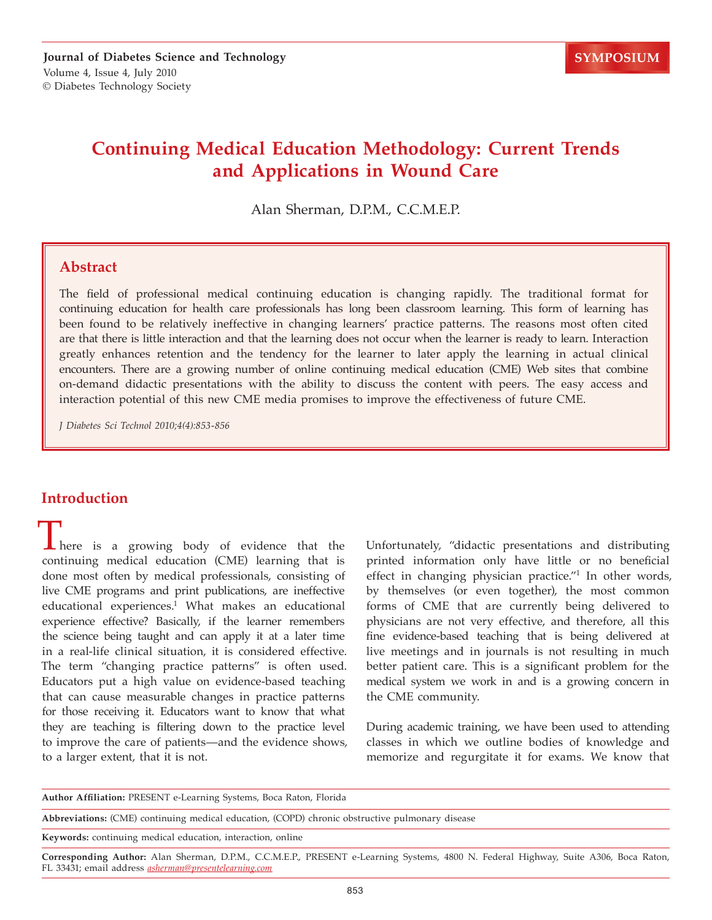# **Continuing Medical Education Methodology: Current Trends and Applications in Wound Care**

Alan Sherman, D.P.M., C.C.M.E.P.

#### **Abstract**

The field of professional medical continuing education is changing rapidly. The traditional format for continuing education for health care professionals has long been classroom learning. This form of learning has been found to be relatively ineffective in changing learners' practice patterns. The reasons most often cited are that there is little interaction and that the learning does not occur when the learner is ready to learn. Interaction greatly enhances retention and the tendency for the learner to later apply the learning in actual clinical encounters. There are a growing number of online continuing medical education (CME) Web sites that combine on-demand didactic presentations with the ability to discuss the content with peers. The easy access and interaction potential of this new CME media promises to improve the effectiveness of future CME.

*J Diabetes Sci Technol 2010;4(4):853-856*

### **Introduction**

 $\blacksquare$  here is a growing body of evidence that the continuing medical education (CME) learning that is done most often by medical professionals, consisting of live CME programs and print publications, are ineffective educational experiences.1 What makes an educational experience effective? Basically, if the learner remembers the science being taught and can apply it at a later time in a real-life clinical situation, it is considered effective. The term "changing practice patterns" is often used. Educators put a high value on evidence-based teaching that can cause measurable changes in practice patterns for those receiving it. Educators want to know that what they are teaching is filtering down to the practice level to improve the care of patients—and the evidence shows, to a larger extent, that it is not.

Unfortunately, "didactic presentations and distributing printed information only have little or no beneficial effect in changing physician practice."1 In other words, by themselves (or even together), the most common forms of CME that are currently being delivered to physicians are not very effective, and therefore, all this fine evidence-based teaching that is being delivered at live meetings and in journals is not resulting in much better patient care. This is a significant problem for the medical system we work in and is a growing concern in the CME community.

During academic training, we have been used to attending classes in which we outline bodies of knowledge and memorize and regurgitate it for exams. We know that

**Author Affiliation:** PRESENT e-Learning Systems, Boca Raton, Florida

**Abbreviations:** (CME) continuing medical education, (COPD) chronic obstructive pulmonary disease

**Keywords:** continuing medical education, interaction, online

**Corresponding Author:** Alan Sherman, D.P.M., C.C.M.E.P., PRESENT e-Learning Systems, 4800 N. Federal Highway, Suite A306, Boca Raton, FL 33431; email address *asherman@presentelearning.com*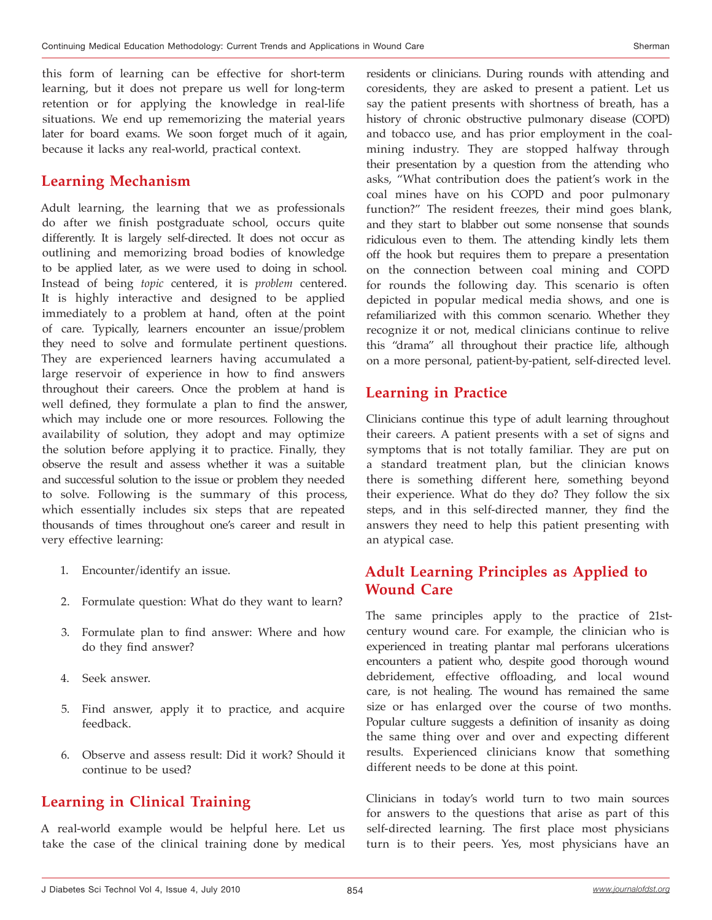this form of learning can be effective for short-term learning, but it does not prepare us well for long-term retention or for applying the knowledge in real-life situations. We end up rememorizing the material years later for board exams. We soon forget much of it again, because it lacks any real-world, practical context.

#### **Learning Mechanism**

Adult learning, the learning that we as professionals do after we finish postgraduate school, occurs quite differently. It is largely self-directed. It does not occur as outlining and memorizing broad bodies of knowledge to be applied later, as we were used to doing in school. Instead of being *topic* centered, it is *problem* centered. It is highly interactive and designed to be applied immediately to a problem at hand, often at the point of care. Typically, learners encounter an issue/problem they need to solve and formulate pertinent questions. They are experienced learners having accumulated a large reservoir of experience in how to find answers throughout their careers. Once the problem at hand is well defined, they formulate a plan to find the answer, which may include one or more resources. Following the availability of solution, they adopt and may optimize the solution before applying it to practice. Finally, they observe the result and assess whether it was a suitable and successful solution to the issue or problem they needed to solve. Following is the summary of this process, which essentially includes six steps that are repeated thousands of times throughout one's career and result in very effective learning:

- 1. Encounter/identify an issue.
- 2. Formulate question: What do they want to learn?
- 3. Formulate plan to find answer: Where and how do they find answer?
- 4. Seek answer.
- 5. Find answer, apply it to practice, and acquire feedback.
- 6. Observe and assess result: Did it work? Should it continue to be used?

### **Learning in Clinical Training**

A real-world example would be helpful here. Let us take the case of the clinical training done by medical residents or clinicians. During rounds with attending and coresidents, they are asked to present a patient. Let us say the patient presents with shortness of breath, has a history of chronic obstructive pulmonary disease (COPD) and tobacco use, and has prior employment in the coalmining industry. They are stopped halfway through their presentation by a question from the attending who asks, "What contribution does the patient's work in the coal mines have on his COPD and poor pulmonary function?" The resident freezes, their mind goes blank, and they start to blabber out some nonsense that sounds ridiculous even to them. The attending kindly lets them off the hook but requires them to prepare a presentation on the connection between coal mining and COPD for rounds the following day. This scenario is often depicted in popular medical media shows, and one is refamiliarized with this common scenario. Whether they recognize it or not, medical clinicians continue to relive this "drama" all throughout their practice life, although on a more personal, patient-by-patient, self-directed level.

### **Learning in Practice**

Clinicians continue this type of adult learning throughout their careers. A patient presents with a set of signs and symptoms that is not totally familiar. They are put on a standard treatment plan, but the clinician knows there is something different here, something beyond their experience. What do they do? They follow the six steps, and in this self-directed manner, they find the answers they need to help this patient presenting with an atypical case.

#### **Adult Learning Principles as Applied to Wound Care**

The same principles apply to the practice of 21stcentury wound care. For example, the clinician who is experienced in treating plantar mal perforans ulcerations encounters a patient who, despite good thorough wound debridement, effective offloading, and local wound care, is not healing. The wound has remained the same size or has enlarged over the course of two months. Popular culture suggests a definition of insanity as doing the same thing over and over and expecting different results. Experienced clinicians know that something different needs to be done at this point.

Clinicians in today's world turn to two main sources for answers to the questions that arise as part of this self-directed learning. The first place most physicians turn is to their peers. Yes, most physicians have an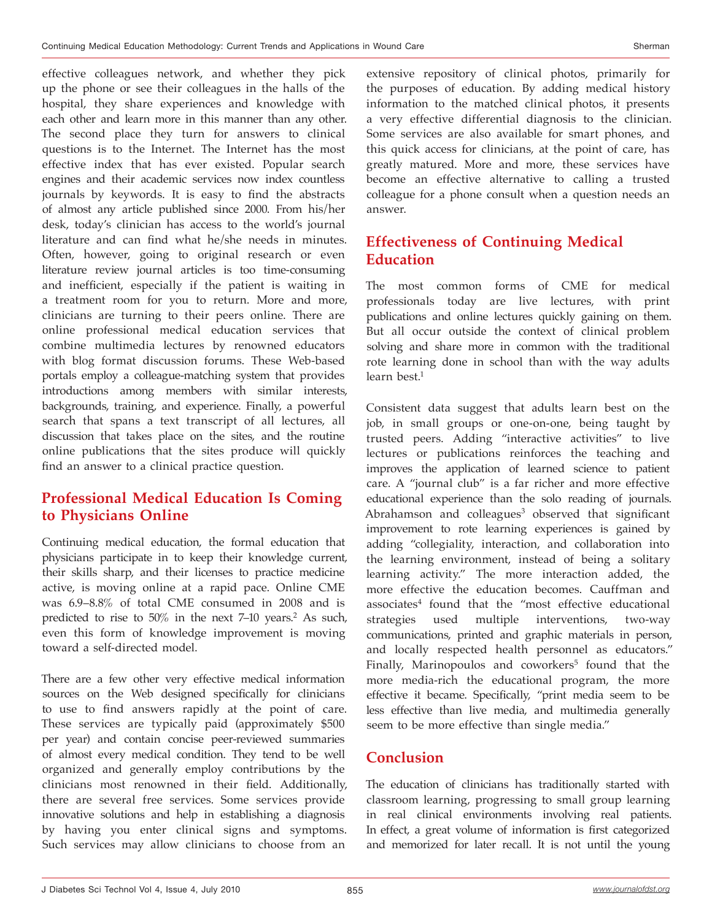effective colleagues network, and whether they pick up the phone or see their colleagues in the halls of the hospital, they share experiences and knowledge with each other and learn more in this manner than any other. The second place they turn for answers to clinical questions is to the Internet. The Internet has the most effective index that has ever existed. Popular search engines and their academic services now index countless journals by keywords. It is easy to find the abstracts of almost any article published since 2000. From his/her desk, today's clinician has access to the world's journal literature and can find what he/she needs in minutes. Often, however, going to original research or even literature review journal articles is too time-consuming and inefficient, especially if the patient is waiting in a treatment room for you to return. More and more, clinicians are turning to their peers online. There are online professional medical education services that combine multimedia lectures by renowned educators with blog format discussion forums. These Web-based portals employ a colleague-matching system that provides introductions among members with similar interests, backgrounds, training, and experience. Finally, a powerful search that spans a text transcript of all lectures, all discussion that takes place on the sites, and the routine online publications that the sites produce will quickly find an answer to a clinical practice question.

#### **Professional Medical Education Is Coming to Physicians Online**

Continuing medical education, the formal education that physicians participate in to keep their knowledge current, their skills sharp, and their licenses to practice medicine active, is moving online at a rapid pace. Online CME was 6.9–8.8% of total CME consumed in 2008 and is predicted to rise to  $50\%$  in the next  $7-10$  years.<sup>2</sup> As such, even this form of knowledge improvement is moving toward a self-directed model.

There are a few other very effective medical information sources on the Web designed specifically for clinicians to use to find answers rapidly at the point of care. These services are typically paid (approximately \$500 per year) and contain concise peer-reviewed summaries of almost every medical condition. They tend to be well organized and generally employ contributions by the clinicians most renowned in their field. Additionally, there are several free services. Some services provide innovative solutions and help in establishing a diagnosis by having you enter clinical signs and symptoms. Such services may allow clinicians to choose from an

extensive repository of clinical photos, primarily for the purposes of education. By adding medical history information to the matched clinical photos, it presents a very effective differential diagnosis to the clinician. Some services are also available for smart phones, and this quick access for clinicians, at the point of care, has greatly matured. More and more, these services have become an effective alternative to calling a trusted colleague for a phone consult when a question needs an answer.

## **Effectiveness of Continuing Medical Education**

The most common forms of CME for medical professionals today are live lectures, with print publications and online lectures quickly gaining on them. But all occur outside the context of clinical problem solving and share more in common with the traditional rote learning done in school than with the way adults learn best. $1$ 

Consistent data suggest that adults learn best on the job, in small groups or one-on-one, being taught by trusted peers. Adding "interactive activities" to live lectures or publications reinforces the teaching and improves the application of learned science to patient care. A "journal club" is a far richer and more effective educational experience than the solo reading of journals. Abrahamson and colleagues<sup>3</sup> observed that significant improvement to rote learning experiences is gained by adding "collegiality, interaction, and collaboration into the learning environment, instead of being a solitary learning activity." The more interaction added, the more effective the education becomes. Cauffman and associates4 found that the "most effective educational strategies used multiple interventions, two-way communications, printed and graphic materials in person, and locally respected health personnel as educators." Finally, Marinopoulos and coworkers<sup>5</sup> found that the more media-rich the educational program, the more effective it became. Specifically, "print media seem to be less effective than live media, and multimedia generally seem to be more effective than single media."

### **Conclusion**

The education of clinicians has traditionally started with classroom learning, progressing to small group learning in real clinical environments involving real patients. In effect, a great volume of information is first categorized and memorized for later recall. It is not until the young